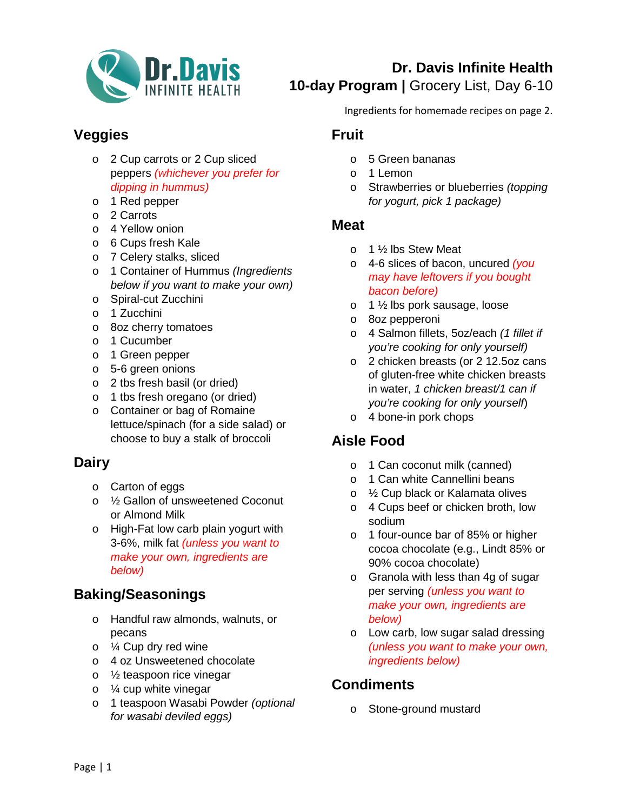

# **Dr. Davis Infinite Health 10-day Program |** Grocery List, Day 6-10

# **Veggies**

- o 2 Cup carrots or 2 Cup sliced peppers *(whichever you prefer for dipping in hummus)*
- o 1 Red pepper
- o 2 Carrots
- o 4 Yellow onion
- o 6 Cups fresh Kale
- o 7 Celery stalks, sliced
- o 1 Container of Hummus *(Ingredients below if you want to make your own)*
- o Spiral-cut Zucchini
- o 1 Zucchini
- o 8oz cherry tomatoes
- o 1 Cucumber
- o 1 Green pepper
- o 5-6 green onions
- o 2 tbs fresh basil (or dried)
- o 1 tbs fresh oregano (or dried)
- o Container or bag of Romaine lettuce/spinach (for a side salad) or choose to buy a stalk of broccoli

## **Dairy**

- o Carton of eggs
- o ½ Gallon of unsweetened Coconut or Almond Milk
- o High-Fat low carb plain yogurt with 3-6%, milk fat *(unless you want to make your own, ingredients are below)*

## **Baking/Seasonings**

- o Handful raw almonds, walnuts, or pecans
- o ¼ Cup dry red wine
- o 4 oz Unsweetened chocolate
- o ½ teaspoon rice vinegar
- $\circ$  % cup white vinegar
- o 1 teaspoon Wasabi Powder *(optional for wasabi deviled eggs)*

Ingredients for homemade recipes on page 2.

#### **Fruit**

- o 5 Green bananas
- o 1 Lemon
- o Strawberries or blueberries *(topping for yogurt, pick 1 package)*

#### **Meat**

- o 1 ½ lbs Stew Meat
- o 4-6 slices of bacon, uncured *(you may have leftovers if you bought bacon before)*
- o 1 ½ lbs pork sausage, loose
- o 8oz pepperoni
- o 4 Salmon fillets, 5oz/each *(1 fillet if you're cooking for only yourself)*
- o 2 chicken breasts (or 2 12.5oz cans of gluten-free white chicken breasts in water, *1 chicken breast/1 can if you're cooking for only yourself*)
- o 4 bone-in pork chops

# **Aisle Food**

- o 1 Can coconut milk (canned)
- o 1 Can white Cannellini beans
- o ½ Cup black or Kalamata olives
- o 4 Cups beef or chicken broth, low sodium
- o 1 four-ounce bar of 85% or higher cocoa chocolate (e.g., Lindt 85% or 90% cocoa chocolate)
- o Granola with less than 4g of sugar per serving *(unless you want to make your own, ingredients are below)*
- o Low carb, low sugar salad dressing *(unless you want to make your own, ingredients below)*

## **Condiments**

o Stone-ground mustard